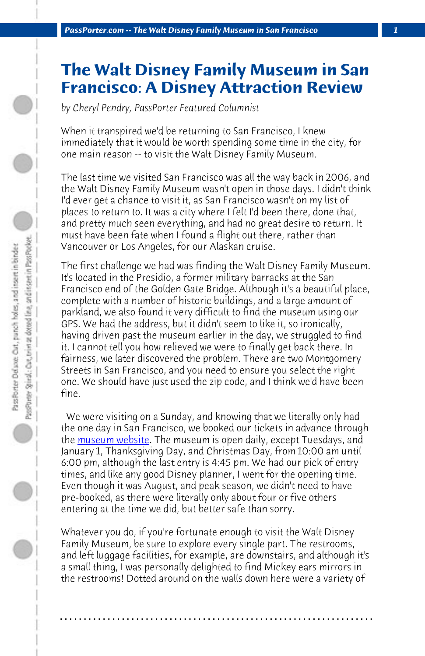*PassPorter.com -- The Walt Disney Family Museum in San Francisco 1*

## **The Walt Disney Family Museum in San Francisco: A Disney Attraction Review**

*by Cheryl Pendry, PassPorter Featured Columnist*

When it transpired we'd be returning to San Francisco, I knew immediately that it would be worth spending some time in the city, for one main reason -- to visit the Walt Disney Family Museum.

The last time we visited San Francisco was all the way back in 2006, and the Walt Disney Family Museum wasn't open in those days. I didn't think I'd ever get a chance to visit it, as San Francisco wasn't on my list of places to return to. It was a city where I felt I'd been there, done that, and pretty much seen everything, and had no great desire to return. It must have been fate when I found a flight out there, rather than Va[ncouver or Los An](http://waltdisney.org/)geles, for our Alaskan cruise.

The first challenge we had was finding the Walt Disney Family Museum. It's located in the Presidio, a former military barracks at the San Francisco end of the Golden Gate Bridge. Although it's a beautiful place, complete with a number of historic buildings, and a large amount of parkland, we also found it very difficult to find the museum using our GPS. We had the address, but it didn't seem to like it, so ironically, having driven past the museum earlier in the day, we struggled to find it. I cannot tell you how relieved we were to finally get back there. In fairness, we later discovered the problem. There are two Montgomery Streets in San Francisco, and you need to ensure you select the right one. We should have just used the zip code, and I think we'd have been fine.

 We were visiting on a Sunday, and knowing that we literally only had the one day in San Francisco, we booked our tickets in advance through the museum website. The museum is open daily, except Tuesdays, and January 1, Thanksgiving Day, and Christmas Day, from 10:00 am until 6:00 pm, although the last entry is 4:45 pm. We had our pick of entry times, and like any good Disney planner, I went for the opening time. Even though it was August, and peak season, we didn't need to have pre-booked, as there were literally only about four or five others entering at the time we did, but better safe than sorry.

Whatever you do, if you're fortunate enough to visit the Walt Disney Family Museum, be sure to explore every single part. The restrooms, and left luggage facilities, for example, are downstairs, and although it's a small thing, I was personally delighted to find Mickey ears mirrors in the restrooms! Dotted around on the walls down here were a variety of

**. . . . . . . . . . . . . . . . . . . . . . . . . . . . . . . . . . . . . . . . . . . . . . . . . . . . . . . . . . . . . . . . . .**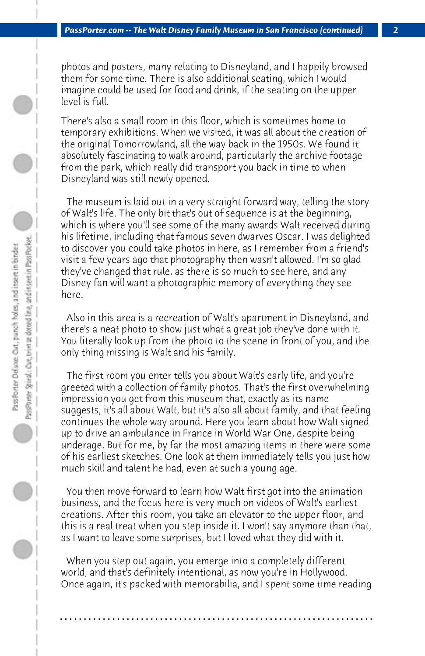photos and posters, many relating to Disneyland, and I happily browsed them for some time. There is also additional seating, which I would imagine could be used for food and drink, if the seating on the upper level is full.

There's also a small room in this floor, which is sometimes home to temporary exhibitions. When we visited, it was all about the creation of the original Tomorrowland, all the way back in the 1950s. We found it absolutely fascinating to walk around, particularly the archive footage from the park, which really did transport you back in time to when Disneyland was still newly opened.

 The museum is laid out in a very straight forward way, telling the story of Walt's life. The only bit that's out of sequence is at the beginning, which is where you'll see some of the many awards Walt received during his lifetime, including that famous seven dwarves Oscar. I was delighted to discover you could take photos in here, as I remember from a friend's visit a few years ago that photography then wasn't allowed. I'm so glad they've changed that rule, as there is so much to see here, and any Disney fan will want a photographic memory of everything they see here.

 Also in this area is a recreation of Walt's apartment in Disneyland, and there's a neat photo to show just what a great job they've done with it. You literally look up from the photo to the scene in front of you, and the only thing missing is Walt and his family.

 The first room you enter tells you about Walt's early life, and you're greeted with a collection of family photos. That's the first overwhelming impression you get from this museum that, exactly as its name suggests, it's all about Walt, but it's also all about family, and that feeling continues the whole way around. Here you learn about how Walt signed up to drive an ambulance in France in World War One, despite being underage. But for me, by far the most amazing items in there were some of his earliest sketches. One look at them immediately tells you just how much skill and talent he had, even at such a young age.

 You then move forward to learn how Walt first got into the animation business, and the focus here is very much on videos of Walt's earliest creations. After this room, you take an elevator to the upper floor, and this is a real treat when you step inside it. I won't say anymore than that, as I want to leave some surprises, but I loved what they did with it.

 When you step out again, you emerge into a completely different world, and that's definitely intentional, as now you're in Hollywood. Once again, it's packed with memorabilia, and I spent some time reading

**. . . . . . . . . . . . . . . . . . . . . . . . . . . . . . . . . . . . . . . . . . . . . . . . . . . . . . . . . . . . . . . . . .**